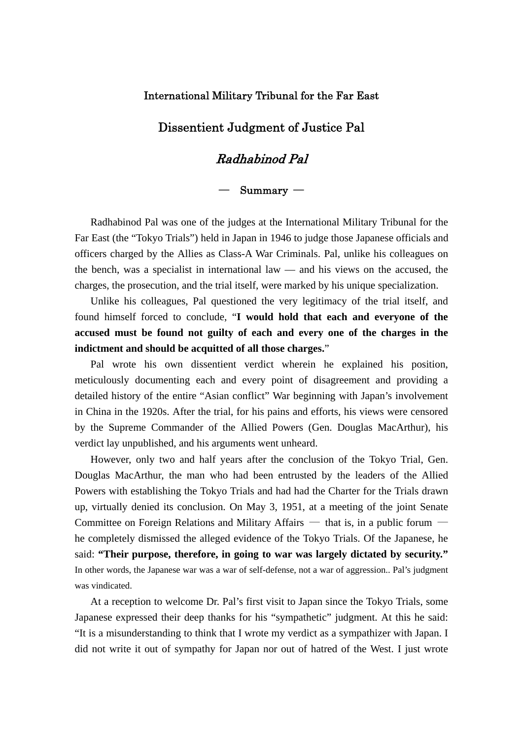## International Military Tribunal for the Far East

## Dissentient Judgment of Justice Pal

## Radhabinod Pal

## ― Summary ―

Radhabinod Pal was one of the judges at the International Military Tribunal for the Far East (the "Tokyo Trials") held in Japan in 1946 to judge those Japanese officials and officers charged by the Allies as Class-A War Criminals. Pal, unlike his colleagues on the bench, was a specialist in international law — and his views on the accused, the charges, the prosecution, and the trial itself, were marked by his unique specialization.

Unlike his colleagues, Pal questioned the very legitimacy of the trial itself, and found himself forced to conclude, "**I would hold that each and everyone of the accused must be found not guilty of each and every one of the charges in the indictment and should be acquitted of all those charges.**"

Pal wrote his own dissentient verdict wherein he explained his position, meticulously documenting each and every point of disagreement and providing a detailed history of the entire "Asian conflict" War beginning with Japan's involvement in China in the 1920s. After the trial, for his pains and efforts, his views were censored by the Supreme Commander of the Allied Powers (Gen. Douglas MacArthur), his verdict lay unpublished, and his arguments went unheard.

However, only two and half years after the conclusion of the Tokyo Trial, Gen. Douglas MacArthur, the man who had been entrusted by the leaders of the Allied Powers with establishing the Tokyo Trials and had had the Charter for the Trials drawn up, virtually denied its conclusion. On May 3, 1951, at a meeting of the joint Senate Committee on Foreign Relations and Military Affairs — that is, in a public forum he completely dismissed the alleged evidence of the Tokyo Trials. Of the Japanese, he said: **"Their purpose, therefore, in going to war was largely dictated by security."** In other words, the Japanese war was a war of self-defense, not a war of aggression.. Pal's judgment was vindicated.

At a reception to welcome Dr. Pal's first visit to Japan since the Tokyo Trials, some Japanese expressed their deep thanks for his "sympathetic" judgment. At this he said: "It is a misunderstanding to think that I wrote my verdict as a sympathizer with Japan. I did not write it out of sympathy for Japan nor out of hatred of the West. I just wrote